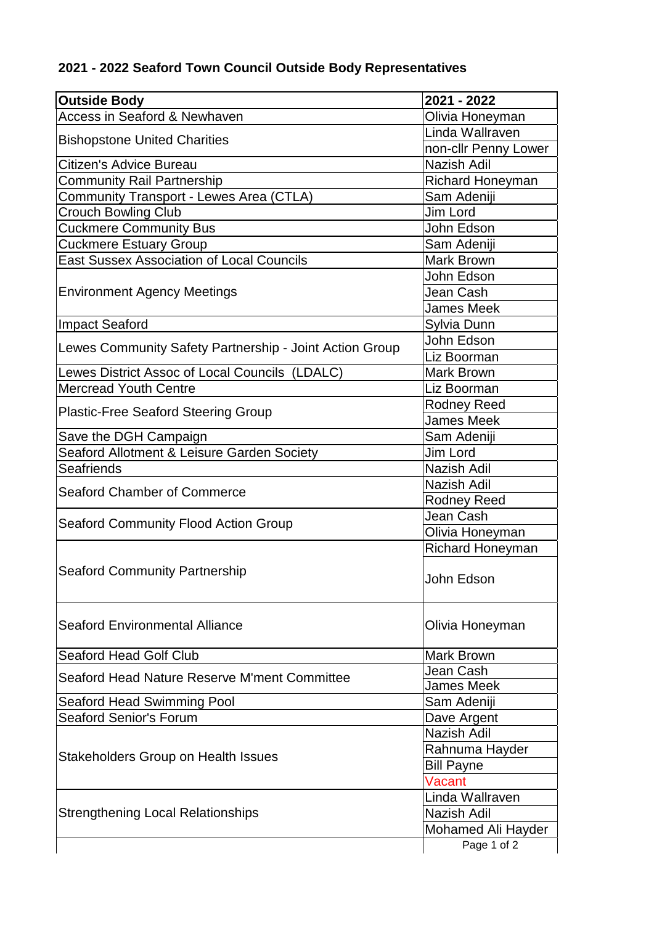## **2021 - 2022 Seaford Town Council Outside Body Representatives**

| <b>Outside Body</b>                                                                    | 2021 - 2022             |
|----------------------------------------------------------------------------------------|-------------------------|
| <b>Access in Seaford &amp; Newhaven</b>                                                | Olivia Honeyman         |
| <b>Bishopstone United Charities</b>                                                    | Linda Wallraven         |
|                                                                                        | non-cllr Penny Lower    |
| Citizen's Advice Bureau                                                                | <b>Nazish Adil</b>      |
| <b>Community Rail Partnership</b>                                                      | Richard Honeyman        |
| Community Transport - Lewes Area (CTLA)                                                | Sam Adeniji             |
| <b>Crouch Bowling Club</b>                                                             | Jim Lord                |
| <b>Cuckmere Community Bus</b>                                                          | John Edson              |
| <b>Cuckmere Estuary Group</b>                                                          | Sam Adeniji             |
| <b>East Sussex Association of Local Councils</b>                                       | <b>Mark Brown</b>       |
| <b>Environment Agency Meetings</b>                                                     | John Edson              |
|                                                                                        | Jean Cash               |
|                                                                                        | <b>James Meek</b>       |
| <b>Impact Seaford</b>                                                                  | Sylvia Dunn             |
| Lewes Community Safety Partnership - Joint Action Group                                | John Edson              |
|                                                                                        | Liz Boorman             |
| Lewes District Assoc of Local Councils (LDALC)                                         | Mark Brown              |
| <b>Mercread Youth Centre</b>                                                           | Liz Boorman             |
|                                                                                        | <b>Rodney Reed</b>      |
| <b>Plastic-Free Seaford Steering Group</b>                                             | <b>James Meek</b>       |
| Save the DGH Campaign                                                                  | Sam Adeniji             |
| Seaford Allotment & Leisure Garden Society                                             | Jim Lord                |
| <b>Seafriends</b>                                                                      | Nazish Adil             |
| <b>Seaford Chamber of Commerce</b>                                                     | Nazish Adil             |
|                                                                                        | <b>Rodney Reed</b>      |
| <b>Seaford Community Flood Action Group</b>                                            | Jean Cash               |
|                                                                                        | Olivia Honeyman         |
|                                                                                        | <b>Richard Honeyman</b> |
| <b>Seaford Community Partnership</b>                                                   | John Edson              |
| <b>Seaford Environmental Alliance</b>                                                  | Olivia Honeyman         |
| <b>Seaford Head Golf Club</b>                                                          | Mark Brown              |
| Seaford Head Nature Reserve M'ment Committee                                           | Jean Cash               |
|                                                                                        | <b>James Meek</b>       |
| <b>Seaford Head Swimming Pool</b>                                                      | Sam Adeniji             |
| <b>Seaford Senior's Forum</b>                                                          | Dave Argent             |
| <b>Stakeholders Group on Health Issues</b><br><b>Strengthening Local Relationships</b> | <b>Nazish Adil</b>      |
|                                                                                        | Rahnuma Hayder          |
|                                                                                        | <b>Bill Payne</b>       |
|                                                                                        | Vacant                  |
|                                                                                        | Linda Wallraven         |
|                                                                                        | Nazish Adil             |
|                                                                                        | Mohamed Ali Hayder      |
|                                                                                        | Page 1 of 2             |